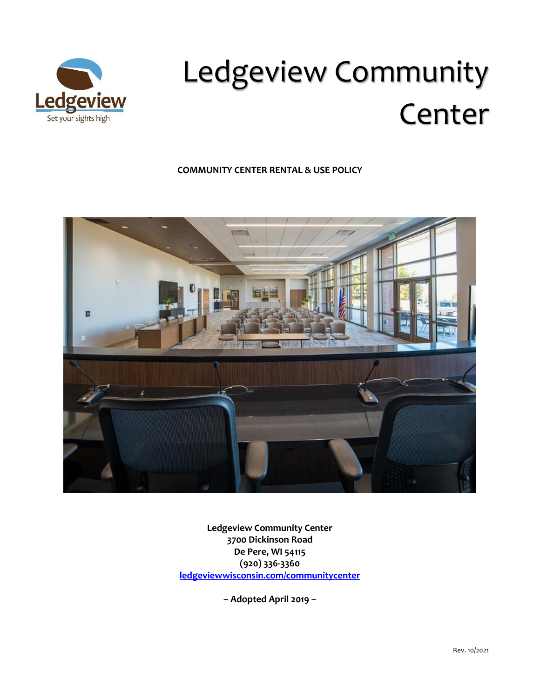

# Ledgeview Community Center

# **COMMUNITY CENTER RENTAL & USE POLICY**



**Ledgeview Community Center 3700 Dickinson Road De Pere, WI 54115 (920) 336-3360 [ledgeviewwisconsin.com/communitycenter](http://ashwaubenon.com/communitycenter)**

**– Adopted April 2019 –**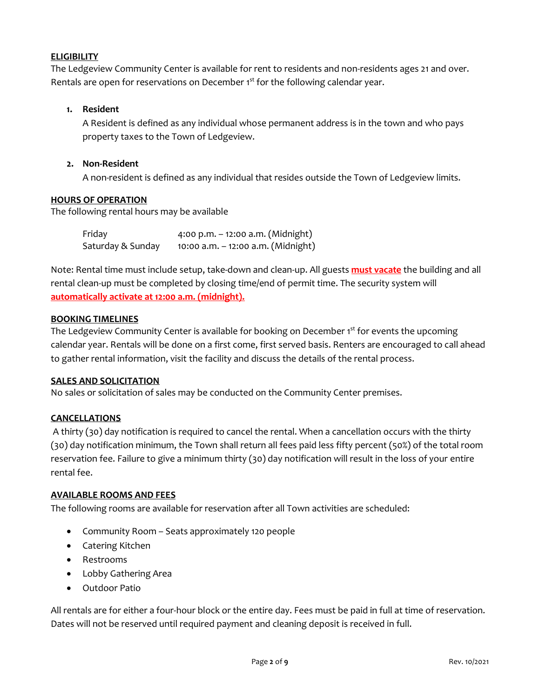## **ELIGIBILITY**

The Ledgeview Community Center is available for rent to residents and non-residents ages 21 and over. Rentals are open for reservations on December 1st for the following calendar year.

# **1. Resident**

A Resident is defined as any individual whose permanent address is in the town and who pays property taxes to the Town of Ledgeview.

## **2. Non-Resident**

A non-resident is defined as any individual that resides outside the Town of Ledgeview limits.

## **HOURS OF OPERATION**

The following rental hours may be available

| Friday            | 4:00 p.m. $-$ 12:00 a.m. (Midnight) |
|-------------------|-------------------------------------|
| Saturday & Sunday | 10:00 a.m. - 12:00 a.m. (Midnight)  |

Note: Rental time must include setup, take-down and clean-up. All guests **must vacate** the building and all rental clean-up must be completed by closing time/end of permit time. The security system will **automatically activate at 12:00 a.m. (midnight).**

#### **BOOKING TIMELINES**

The Ledgeview Community Center is available for booking on December 1<sup>st</sup> for events the upcoming calendar year. Rentals will be done on a first come, first served basis. Renters are encouraged to call ahead to gather rental information, visit the facility and discuss the details of the rental process.

#### **SALES AND SOLICITATION**

No sales or solicitation of sales may be conducted on the Community Center premises.

# **CANCELLATIONS**

A thirty (30) day notification is required to cancel the rental. When a cancellation occurs with the thirty (30) day notification minimum, the Town shall return all fees paid less fifty percent (50%) of the total room reservation fee. Failure to give a minimum thirty (30) day notification will result in the loss of your entire rental fee.

#### **AVAILABLE ROOMS AND FEES**

The following rooms are available for reservation after all Town activities are scheduled:

- Community Room Seats approximately 120 people
- Catering Kitchen
- Restrooms
- Lobby Gathering Area
- Outdoor Patio

All rentals are for either a four-hour block or the entire day. Fees must be paid in full at time of reservation. Dates will not be reserved until required payment and cleaning deposit is received in full.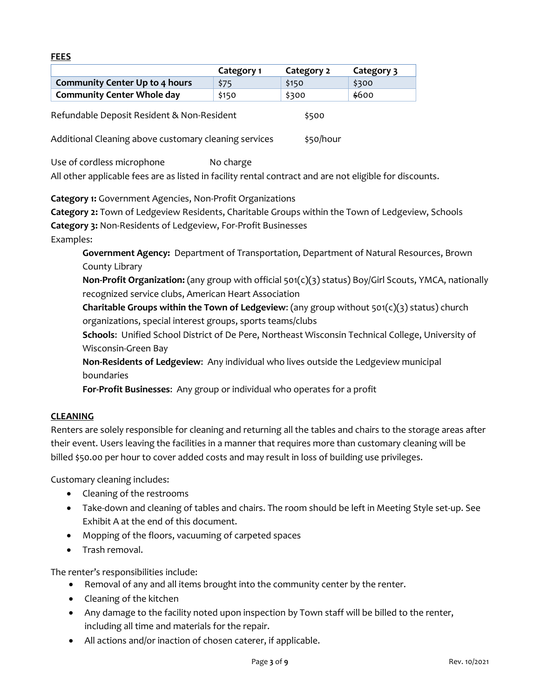#### **FEES**

|                                                       | Category 1 | Category 2 | Category 3 |
|-------------------------------------------------------|------------|------------|------------|
| <b>Community Center Up to 4 hours</b>                 | \$75       | \$150      | \$300      |
| <b>Community Center Whole day</b>                     | \$150      | \$300      | \$600      |
| Refundable Deposit Resident & Non-Resident            |            | \$500      |            |
| Additional Cleaning above customary cleaning services |            | \$50/hour  |            |

Use of cordless microphone No charge All other applicable fees are as listed in facility rental contract and are not eligible for discounts.

**Category 1:** Government Agencies, Non-Profit Organizations

**Category 2:** Town of Ledgeview Residents, Charitable Groups within the Town of Ledgeview, Schools **Category 3:** Non-Residents of Ledgeview, For-Profit Businesses Examples:

**Government Agency:** Department of Transportation, Department of Natural Resources, Brown County Library

**Non-Profit Organization:** (any group with official 501(c)(3) status) Boy/Girl Scouts, YMCA, nationally recognized service clubs, American Heart Association

**Charitable Groups within the Town of Ledgeview**: (any group without 501(c)(3) status) church organizations, special interest groups, sports teams/clubs

**Schools**: Unified School District of De Pere, Northeast Wisconsin Technical College, University of Wisconsin-Green Bay

**Non-Residents of Ledgeview**: Any individual who lives outside the Ledgeview municipal boundaries

**For-Profit Businesses**: Any group or individual who operates for a profit

# **CLEANING**

Renters are solely responsible for cleaning and returning all the tables and chairs to the storage areas after their event. Users leaving the facilities in a manner that requires more than customary cleaning will be billed \$50.00 per hour to cover added costs and may result in loss of building use privileges.

Customary cleaning includes:

- Cleaning of the restrooms
- Take-down and cleaning of tables and chairs. The room should be left in Meeting Style set-up. See Exhibit A at the end of this document.
- Mopping of the floors, vacuuming of carpeted spaces
- Trash removal.

The renter's responsibilities include:

- Removal of any and all items brought into the community center by the renter.
- Cleaning of the kitchen
- Any damage to the facility noted upon inspection by Town staff will be billed to the renter, including all time and materials for the repair.
- All actions and/or inaction of chosen caterer, if applicable.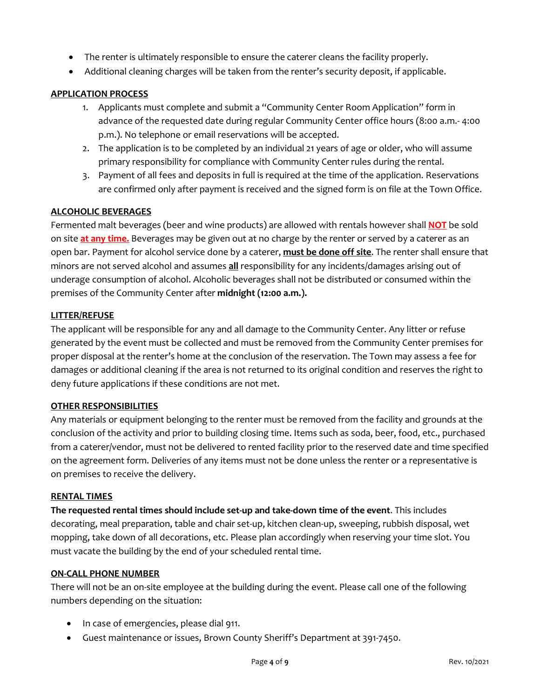- The renter is ultimately responsible to ensure the caterer cleans the facility properly.
- Additional cleaning charges will be taken from the renter's security deposit, if applicable.

## **APPLICATION PROCESS**

- 1. Applicants must complete and submit a "Community Center Room Application" form in advance of the requested date during regular Community Center office hours (8:00 a.m.- 4:00 p.m.). No telephone or email reservations will be accepted.
- 2. The application is to be completed by an individual 21 years of age or older, who will assume primary responsibility for compliance with Community Center rules during the rental.
- 3. Payment of all fees and deposits in full is required at the time of the application. Reservations are confirmed only after payment is received and the signed form is on file at the Town Office.

## **ALCOHOLIC BEVERAGES**

Fermented malt beverages (beer and wine products) are allowed with rentals however shall **NOT** be sold on site **at any time.** Beverages may be given out at no charge by the renter or served by a caterer as an open bar. Payment for alcohol service done by a caterer, **must be done off site**. The renter shall ensure that minors are not served alcohol and assumes **all** responsibility for any incidents/damages arising out of underage consumption of alcohol. Alcoholic beverages shall not be distributed or consumed within the premises of the Community Center after **midnight (12:00 a.m.).**

#### **LITTER/REFUSE**

The applicant will be responsible for any and all damage to the Community Center. Any litter or refuse generated by the event must be collected and must be removed from the Community Center premises for proper disposal at the renter's home at the conclusion of the reservation. The Town may assess a fee for damages or additional cleaning if the area is not returned to its original condition and reserves the right to deny future applications if these conditions are not met.

#### **OTHER RESPONSIBILITIES**

Any materials or equipment belonging to the renter must be removed from the facility and grounds at the conclusion of the activity and prior to building closing time. Items such as soda, beer, food, etc., purchased from a caterer/vendor, must not be delivered to rented facility prior to the reserved date and time specified on the agreement form. Deliveries of any items must not be done unless the renter or a representative is on premises to receive the delivery.

#### **RENTAL TIMES**

**The requested rental times should include set-up and take-down time of the event**. This includes decorating, meal preparation, table and chair set-up, kitchen clean-up, sweeping, rubbish disposal, wet mopping, take down of all decorations, etc. Please plan accordingly when reserving your time slot. You must vacate the building by the end of your scheduled rental time.

#### **ON-CALL PHONE NUMBER**

There will not be an on-site employee at the building during the event. Please call one of the following numbers depending on the situation:

- In case of emergencies, please dial 911.
- Guest maintenance or issues, Brown County Sheriff's Department at 391-7450.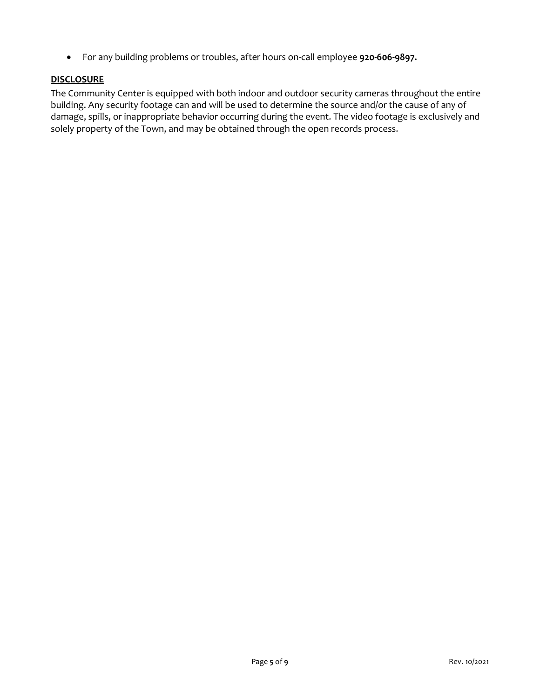For any building problems or troubles, after hours on-call employee **920-606-9897.**

# **DISCLOSURE**

The Community Center is equipped with both indoor and outdoor security cameras throughout the entire building. Any security footage can and will be used to determine the source and/or the cause of any of damage, spills, or inappropriate behavior occurring during the event. The video footage is exclusively and solely property of the Town, and may be obtained through the open records process.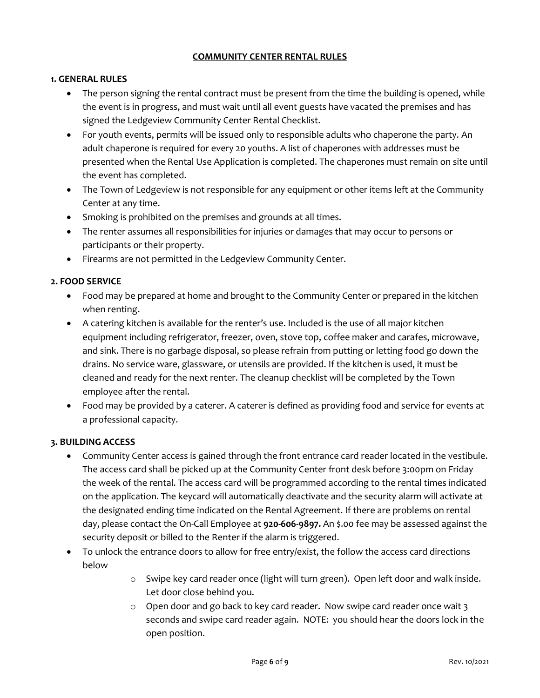## **COMMUNITY CENTER RENTAL RULES**

## **1. GENERAL RULES**

- The person signing the rental contract must be present from the time the building is opened, while the event is in progress, and must wait until all event guests have vacated the premises and has signed the Ledgeview Community Center Rental Checklist.
- For youth events, permits will be issued only to responsible adults who chaperone the party. An adult chaperone is required for every 20 youths. A list of chaperones with addresses must be presented when the Rental Use Application is completed. The chaperones must remain on site until the event has completed.
- The Town of Ledgeview is not responsible for any equipment or other items left at the Community Center at any time.
- Smoking is prohibited on the premises and grounds at all times.
- The renter assumes all responsibilities for injuries or damages that may occur to persons or participants or their property.
- Firearms are not permitted in the Ledgeview Community Center.

# **2. FOOD SERVICE**

- Food may be prepared at home and brought to the Community Center or prepared in the kitchen when renting.
- A catering kitchen is available for the renter's use. Included is the use of all major kitchen equipment including refrigerator, freezer, oven, stove top, coffee maker and carafes, microwave, and sink. There is no garbage disposal, so please refrain from putting or letting food go down the drains. No service ware, glassware, or utensils are provided. If the kitchen is used, it must be cleaned and ready for the next renter. The cleanup checklist will be completed by the Town employee after the rental.
- Food may be provided by a caterer. A caterer is defined as providing food and service for events at a professional capacity.

# **3. BUILDING ACCESS**

- Community Center access is gained through the front entrance card reader located in the vestibule. The access card shall be picked up at the Community Center front desk before 3:00pm on Friday the week of the rental. The access card will be programmed according to the rental times indicated on the application. The keycard will automatically deactivate and the security alarm will activate at the designated ending time indicated on the Rental Agreement. If there are problems on rental day, please contact the On-Call Employee at **920-606-9897.** An \$.00 fee may be assessed against the security deposit or billed to the Renter if the alarm is triggered.
- To unlock the entrance doors to allow for free entry/exist, the follow the access card directions below
	- $\circ$  Swipe key card reader once (light will turn green). Open left door and walk inside. Let door close behind you.
	- o Open door and go back to key card reader. Now swipe card reader once wait 3 seconds and swipe card reader again. NOTE: you should hear the doors lock in the open position.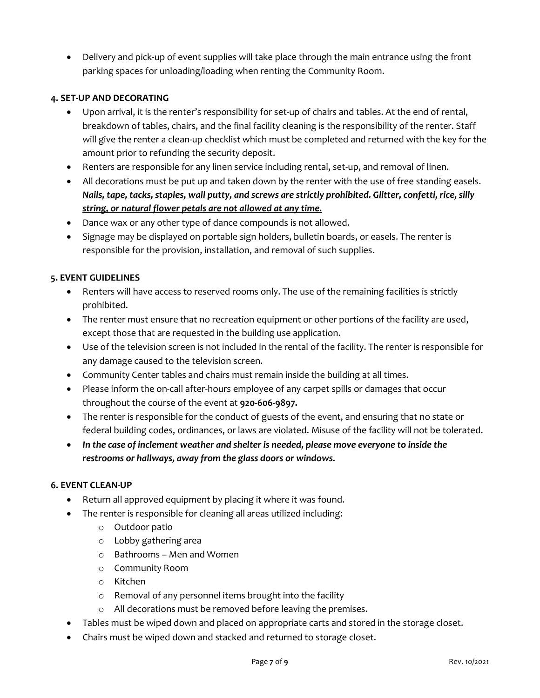Delivery and pick-up of event supplies will take place through the main entrance using the front parking spaces for unloading/loading when renting the Community Room.

# **4. SET-UP AND DECORATING**

- Upon arrival, it is the renter's responsibility for set-up of chairs and tables. At the end of rental, breakdown of tables, chairs, and the final facility cleaning is the responsibility of the renter. Staff will give the renter a clean-up checklist which must be completed and returned with the key for the amount prior to refunding the security deposit.
- Renters are responsible for any linen service including rental, set-up, and removal of linen.
- All decorations must be put up and taken down by the renter with the use of free standing easels. *Nails, tape, tacks, staples, wall putty, and screws are strictly prohibited. Glitter, confetti, rice, silly string, or natural flower petals are not allowed at any time.*
- Dance wax or any other type of dance compounds is not allowed.
- Signage may be displayed on portable sign holders, bulletin boards, or easels. The renter is responsible for the provision, installation, and removal of such supplies.

# **5. EVENT GUIDELINES**

- Renters will have access to reserved rooms only. The use of the remaining facilities is strictly prohibited.
- The renter must ensure that no recreation equipment or other portions of the facility are used, except those that are requested in the building use application.
- Use of the television screen is not included in the rental of the facility. The renter is responsible for any damage caused to the television screen.
- Community Center tables and chairs must remain inside the building at all times.
- Please inform the on-call after-hours employee of any carpet spills or damages that occur throughout the course of the event at **920-606-9897.**
- The renter is responsible for the conduct of guests of the event, and ensuring that no state or federal building codes, ordinances, or laws are violated. Misuse of the facility will not be tolerated.
- *In the case of inclement weather and shelter is needed, please move everyone to inside the restrooms or hallways, away from the glass doors or windows.*

# **6. EVENT CLEAN-UP**

- Return all approved equipment by placing it where it was found.
- The renter is responsible for cleaning all areas utilized including:
	- o Outdoor patio
	- o Lobby gathering area
	- o Bathrooms Men and Women
	- o Community Room
	- o Kitchen
	- o Removal of any personnel items brought into the facility
	- o All decorations must be removed before leaving the premises.
- Tables must be wiped down and placed on appropriate carts and stored in the storage closet.
- Chairs must be wiped down and stacked and returned to storage closet.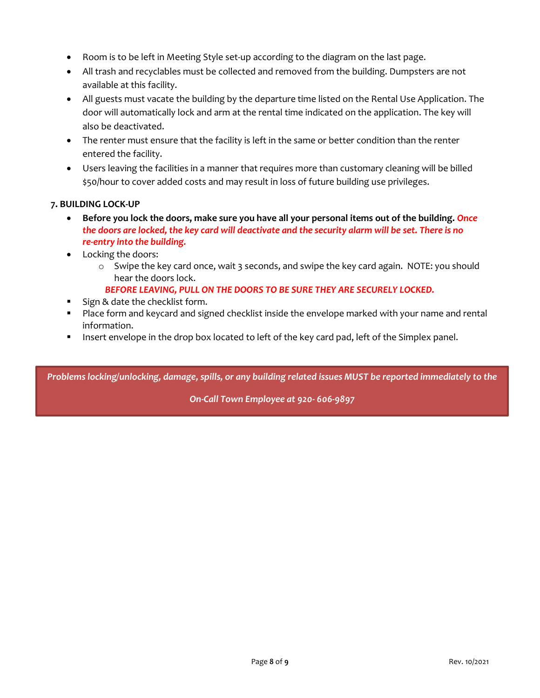- Room is to be left in Meeting Style set-up according to the diagram on the last page.
- All trash and recyclables must be collected and removed from the building. Dumpsters are not available at this facility.
- All guests must vacate the building by the departure time listed on the Rental Use Application. The door will automatically lock and arm at the rental time indicated on the application. The key will also be deactivated.
- The renter must ensure that the facility is left in the same or better condition than the renter entered the facility.
- Users leaving the facilities in a manner that requires more than customary cleaning will be billed \$50/hour to cover added costs and may result in loss of future building use privileges.

# **7. BUILDING LOCK-UP**

- **Before you lock the doors, make sure you have all your personal items out of the building.** *Once the doors are locked, the key card will deactivate and the security alarm will be set. There is no re-entry into the building.*
- Locking the doors:
	- o Swipe the key card once, wait 3 seconds, and swipe the key card again. NOTE: you should hear the doors lock.
		- *BEFORE LEAVING, PULL ON THE DOORS TO BE SURE THEY ARE SECURELY LOCKED.*
- Sign & date the checklist form.
- Place form and keycard and signed checklist inside the envelope marked with your name and rental information.
- **Insert envelope in the drop box located to left of the key card pad, left of the Simplex panel.**

*Problems locking/unlocking, damage, spills, or any building related issues MUST be reported immediately to the*

*On-Call Town Employee at 920- 606-9897*